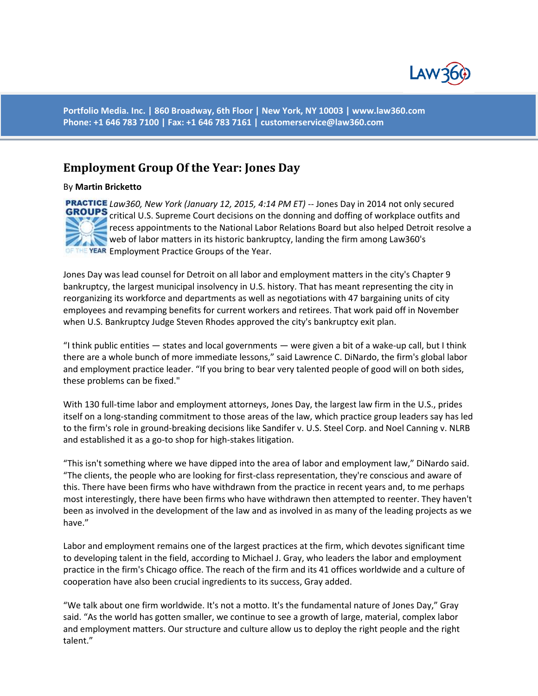

**Portfolio Media. Inc. | 860 Broadway, 6th Floor | New York, NY 10003 | www.law360.com Phone: +1 646 783 7100 | Fax: +1 646 783 7161 | customerservice@law360.com**

## **Employment Group Of the Year: Jones Day**

By **Martin Bricketto**

*Law360, New York (January 12, 2015, 4:14 PM ET)* -- Jones Day in 2014 not only secured **GROUPS** critical U.S. Supreme Court decisions on the donning and doffing of workplace outfits and recess appointments to the National Labor Relations Board but also helped Detroit resolve a web of labor matters in its historic bankruptcy, landing the firm among Law360's OF THE YEAR Employment Practice Groups of the Year.

Jones Day was lead counsel for Detroit on all labor and employment matters in the city's Chapter 9 bankruptcy, the largest municipal insolvency in U.S. history. That has meant representing the city in reorganizing its workforce and departments as well as negotiations with 47 bargaining units of city employees and revamping benefits for current workers and retirees. That work paid off in November when U.S. Bankruptcy Judge Steven Rhodes approved the city's bankruptcy exit plan.

"I think public entities — states and local governments — were given a bit of a wake-up call, but I think there are a whole bunch of more immediate lessons," said Lawrence C. DiNardo, the firm's global labor and employment practice leader. "If you bring to bear very talented people of good will on both sides, these problems can be fixed."

With 130 full-time labor and employment attorneys, Jones Day, the largest law firm in the U.S., prides itself on a long-standing commitment to those areas of the law, which practice group leaders say has led to the firm's role in ground-breaking decisions like Sandifer v. U.S. Steel Corp. and Noel Canning v. NLRB and established it as a go-to shop for high-stakes litigation.

"This isn't something where we have dipped into the area of labor and employment law," DiNardo said. "The clients, the people who are looking for first-class representation, they're conscious and aware of this. There have been firms who have withdrawn from the practice in recent years and, to me perhaps most interestingly, there have been firms who have withdrawn then attempted to reenter. They haven't been as involved in the development of the law and as involved in as many of the leading projects as we have."

Labor and employment remains one of the largest practices at the firm, which devotes significant time to developing talent in the field, according to Michael J. Gray, who leaders the labor and employment practice in the firm's Chicago office. The reach of the firm and its 41 offices worldwide and a culture of cooperation have also been crucial ingredients to its success, Gray added.

"We talk about one firm worldwide. It's not a motto. It's the fundamental nature of Jones Day," Gray said. "As the world has gotten smaller, we continue to see a growth of large, material, complex labor and employment matters. Our structure and culture allow us to deploy the right people and the right talent."